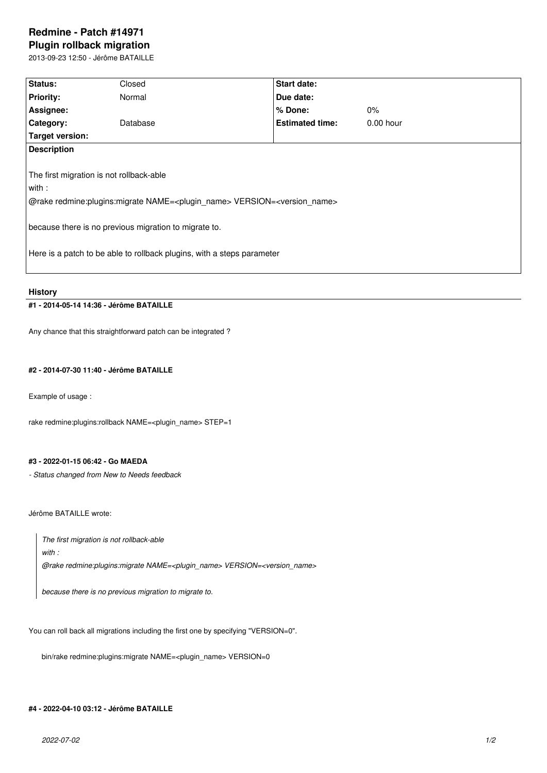# **Redmine - Patch #14971 Plugin rollback migration**

2013-09-23 12:50 - Jérôme BATAILLE

| Status:                                                                                               | Closed   | <b>Start date:</b>     |             |  |
|-------------------------------------------------------------------------------------------------------|----------|------------------------|-------------|--|
|                                                                                                       |          |                        |             |  |
| <b>Priority:</b>                                                                                      | Normal   | Due date:              |             |  |
| Assignee:                                                                                             |          | $%$ Done:              | $0\%$       |  |
| Category:                                                                                             | Database | <b>Estimated time:</b> | $0.00$ hour |  |
| <b>Target version:</b>                                                                                |          |                        |             |  |
| <b>Description</b>                                                                                    |          |                        |             |  |
|                                                                                                       |          |                        |             |  |
| The first migration is not rollback-able                                                              |          |                        |             |  |
| with :                                                                                                |          |                        |             |  |
| @rake redmine:plugins:migrate NAME= <plugin_name> VERSION=<version_name></version_name></plugin_name> |          |                        |             |  |
|                                                                                                       |          |                        |             |  |
| because there is no previous migration to migrate to.                                                 |          |                        |             |  |
|                                                                                                       |          |                        |             |  |
| Here is a patch to be able to rollback plugins, with a steps parameter                                |          |                        |             |  |
|                                                                                                       |          |                        |             |  |
|                                                                                                       |          |                        |             |  |

**History**

# **#1 - 2014-05-14 14:36 - Jérôme BATAILLE**

Any chance that this straightforward patch can be integrated ?

# **#2 - 2014-07-30 11:40 - Jérôme BATAILLE**

Example of usage :

rake redmine:plugins:rollback NAME=<plugin\_name> STEP=1

#### **#3 - 2022-01-15 06:42 - Go MAEDA**

*- Status changed from New to Needs feedback*

Jérôme BATAILLE wrote:

*The first migration is not rollback-able*

*with :*

*@rake redmine:plugins:migrate NAME=<plugin\_name> VERSION=<version\_name>*

*because there is no previous migration to migrate to.*

You can roll back all migrations including the first one by specifying "VERSION=0".

bin/rake redmine:plugins:migrate NAME=<plugin\_name> VERSION=0

# **#4 - 2022-04-10 03:12 - Jérôme BATAILLE**